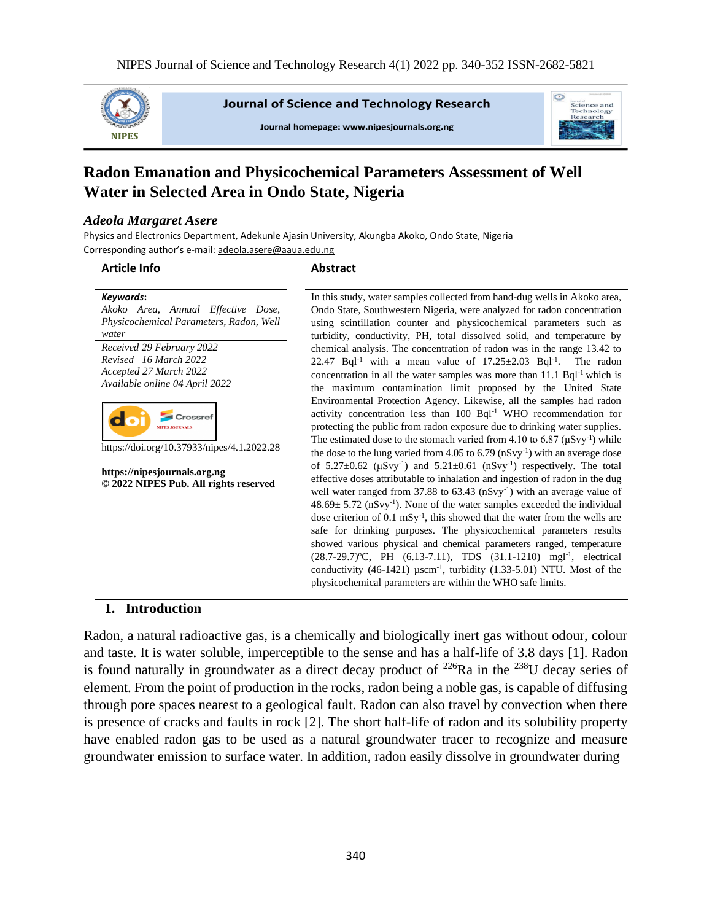

**Journal of Science and Technology Research** 

Journal homepage: www.nipesjournals.org.ng



# **Radon Emanation and Physicochemical Parameters Assessment of Well Water in Selected Area in Ondo State, Nigeria**

#### *Adeola Margaret Asere*

Physics and Electronics Department, Adekunle Ajasin University, Akungba Akoko, Ondo State, Nigeria Corresponding author's e-mail[: adeola.asere@aaua.edu.ng](mailto:adeola.asere@aaua.edu.ng)

#### **Article Info Abstract**

| Keywords:                               |
|-----------------------------------------|
| Akoko Area, Annual Effective Dose,      |
| Physicochemical Parameters, Radon, Well |
| water                                   |
| Received 29 February 2022               |
| Revised 16 March 2022                   |
| Accepted 27 March 2022                  |
| Available online 04 April 2022          |
|                                         |
|                                         |



https://doi.org/10.37933/nipes/4.1.2022.28

**https://nipesjournals.org.ng © 2022 NIPES Pub. All rights reserved** In this study, water samples collected from hand-dug wells in Akoko area, Ondo State, Southwestern Nigeria, were analyzed for radon concentration using scintillation counter and physicochemical parameters such as turbidity, conductivity, PH, total dissolved solid, and temperature by chemical analysis. The concentration of radon was in the range 13.42 to 22.47 Bql<sup>-1</sup> with a mean value of  $17.25 \pm 2.03$  Bql<sup>-1</sup>. The radon concentration in all the water samples was more than  $11.1$  Bql<sup>-1</sup> which is the maximum contamination limit proposed by the United State Environmental Protection Agency. Likewise, all the samples had radon activity concentration less than 100 Bql-1 WHO recommendation for protecting the public from radon exposure due to drinking water supplies. The estimated dose to the stomach varied from 4.10 to 6.87 ( $\mu$ Svy<sup>-1</sup>) while the dose to the lung varied from  $4.05$  to  $6.79$  (nSvy<sup>-1</sup>) with an average dose of  $5.27 \pm 0.62$  ( $\mu$ Svy<sup>-1</sup>) and  $5.21 \pm 0.61$  ( $n$ Svy<sup>-1</sup>) respectively. The total effective doses attributable to inhalation and ingestion of radon in the dug well water ranged from 37.88 to 63.43 (nSvy<sup>-1</sup>) with an average value of  $48.69 \pm 5.72$  (nSvy<sup>-1</sup>). None of the water samples exceeded the individual dose criterion of  $0.1 \text{ mSy}^{-1}$ , this showed that the water from the wells are safe for drinking purposes. The physicochemical parameters results showed various physical and chemical parameters ranged, temperature (28.7-29.7) °C, PH (6.13-7.11), TDS (31.1-1210) mgl<sup>-1</sup>, electrical conductivity  $(46-1421)$   $\mu$ scm<sup>-1</sup>, turbidity  $(1.33-5.01)$  NTU. Most of the physicochemical parameters are within the WHO safe limits.

#### **1. Introduction**

Radon, a natural radioactive gas, is a chemically and biologically inert gas without odour, colour and taste. It is water soluble, imperceptible to the sense and has a half-life of 3.8 days [1]. Radon is found naturally in groundwater as a direct decay product of  $^{226}Ra$  in the  $^{238}U$  decay series of element. From the point of production in the rocks, radon being a noble gas, is capable of diffusing through pore spaces nearest to a geological fault. Radon can also travel by convection when there is presence of cracks and faults in rock [2]. The short half-life of radon and its solubility property have enabled radon gas to be used as a natural groundwater tracer to recognize and measure groundwater emission to surface water. In addition, radon easily dissolve in groundwater during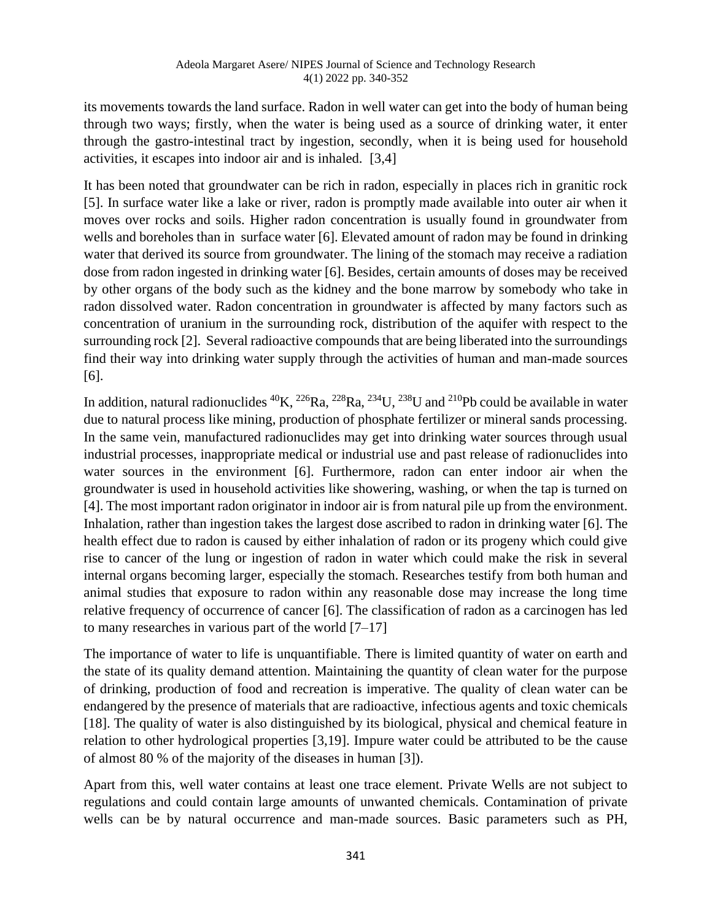its movements towards the land surface. Radon in well water can get into the body of human being through two ways; firstly, when the water is being used as a source of drinking water, it enter through the gastro-intestinal tract by ingestion, secondly, when it is being used for household activities, it escapes into indoor air and is inhaled. [3,4]

It has been noted that groundwater can be rich in radon, especially in places rich in granitic rock [5]. In surface water like a lake or river, radon is promptly made available into outer air when it moves over rocks and soils. Higher radon concentration is usually found in groundwater from wells and boreholes than in surface water [6]. Elevated amount of radon may be found in drinking water that derived its source from groundwater. The lining of the stomach may receive a radiation dose from radon ingested in drinking water [6]. Besides, certain amounts of doses may be received by other organs of the body such as the kidney and the bone marrow by somebody who take in radon dissolved water. Radon concentration in groundwater is affected by many factors such as concentration of uranium in the surrounding rock, distribution of the aquifer with respect to the surrounding rock [2]. Several radioactive compounds that are being liberated into the surroundings find their way into drinking water supply through the activities of human and man-made sources [6].

In addition, natural radionuclides  ${}^{40}$ K,  ${}^{226}$ Ra,  ${}^{228}$ Ra,  ${}^{234}$ U,  ${}^{238}$ U and  ${}^{210}$ Pb could be available in water due to natural process like mining, production of phosphate fertilizer or mineral sands processing. In the same vein, manufactured radionuclides may get into drinking water sources through usual industrial processes, inappropriate medical or industrial use and past release of radionuclides into water sources in the environment [6]. Furthermore, radon can enter indoor air when the groundwater is used in household activities like showering, washing, or when the tap is turned on [4]. The most important radon originator in indoor air is from natural pile up from the environment. Inhalation, rather than ingestion takes the largest dose ascribed to radon in drinking water [6]. The health effect due to radon is caused by either inhalation of radon or its progeny which could give rise to cancer of the lung or ingestion of radon in water which could make the risk in several internal organs becoming larger, especially the stomach. Researches testify from both human and animal studies that exposure to radon within any reasonable dose may increase the long time relative frequency of occurrence of cancer [6]. The classification of radon as a carcinogen has led to many researches in various part of the world  $[7-17]$ 

The importance of water to life is unquantifiable. There is limited quantity of water on earth and the state of its quality demand attention. Maintaining the quantity of clean water for the purpose of drinking, production of food and recreation is imperative. The quality of clean water can be endangered by the presence of materials that are radioactive, infectious agents and toxic chemicals [18]. The quality of water is also distinguished by its biological, physical and chemical feature in relation to other hydrological properties [3,19]. Impure water could be attributed to be the cause of almost 80 % of the majority of the diseases in human [3]).

Apart from this, well water contains at least one trace element. Private Wells are not subject to regulations and could contain large amounts of unwanted chemicals. Contamination of private wells can be by natural occurrence and man-made sources. Basic parameters such as PH,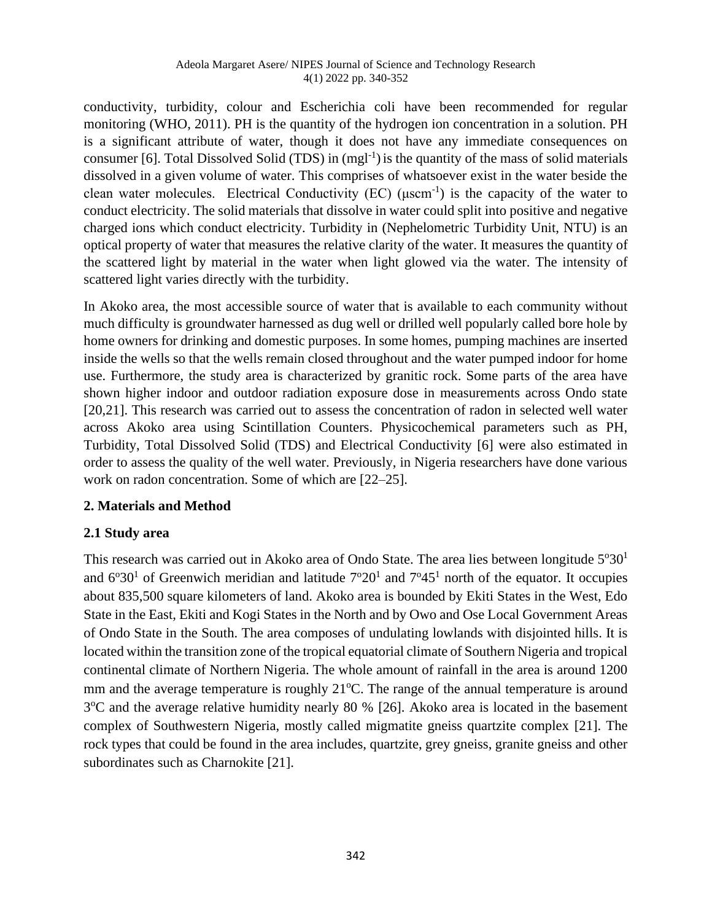conductivity, turbidity, colour and Escherichia coli have been recommended for regular monitoring (WHO, 2011). PH is the quantity of the hydrogen ion concentration in a solution. PH is a significant attribute of water, though it does not have any immediate consequences on consumer [6]. Total Dissolved Solid (TDS) in  $(mgl^{-1})$  is the quantity of the mass of solid materials dissolved in a given volume of water. This comprises of whatsoever exist in the water beside the clean water molecules. Electrical Conductivity (EC) ( $\mu$ scm<sup>-1</sup>) is the capacity of the water to conduct electricity. The solid materials that dissolve in water could split into positive and negative charged ions which conduct electricity. Turbidity in (Nephelometric Turbidity Unit, NTU) is an optical property of water that measures the relative clarity of the water. It measures the quantity of the scattered light by material in the water when light glowed via the water. The intensity of scattered light varies directly with the turbidity.

In Akoko area, the most accessible source of water that is available to each community without much difficulty is groundwater harnessed as dug well or drilled well popularly called bore hole by home owners for drinking and domestic purposes. In some homes, pumping machines are inserted inside the wells so that the wells remain closed throughout and the water pumped indoor for home use. Furthermore, the study area is characterized by granitic rock. Some parts of the area have shown higher indoor and outdoor radiation exposure dose in measurements across Ondo state [20,21]. This research was carried out to assess the concentration of radon in selected well water across Akoko area using Scintillation Counters. Physicochemical parameters such as PH, Turbidity, Total Dissolved Solid (TDS) and Electrical Conductivity [6] were also estimated in order to assess the quality of the well water. Previously, in Nigeria researchers have done various work on radon concentration. Some of which are [22–25].

## **2. Materials and Method**

## **2.1 Study area**

This research was carried out in Akoko area of Ondo State. The area lies between longitude  $5^{\circ}30^1$ and  $6^{\circ}30^{\circ}$  of Greenwich meridian and latitude  $7^{\circ}20^{\circ}$  and  $7^{\circ}45^{\circ}$  north of the equator. It occupies about 835,500 square kilometers of land. Akoko area is bounded by Ekiti States in the West, Edo State in the East, Ekiti and Kogi States in the North and by Owo and Ose Local Government Areas of Ondo State in the South. The area composes of undulating lowlands with disjointed hills. It is located within the transition zone of the tropical equatorial climate of Southern Nigeria and tropical continental climate of Northern Nigeria. The whole amount of rainfall in the area is around 1200 mm and the average temperature is roughly  $21^{\circ}$ C. The range of the annual temperature is around 3<sup>o</sup>C and the average relative humidity nearly 80 % [26]. Akoko area is located in the basement complex of Southwestern Nigeria, mostly called migmatite gneiss quartzite complex [21]. The rock types that could be found in the area includes, quartzite, grey gneiss, granite gneiss and other subordinates such as Charnokite [21].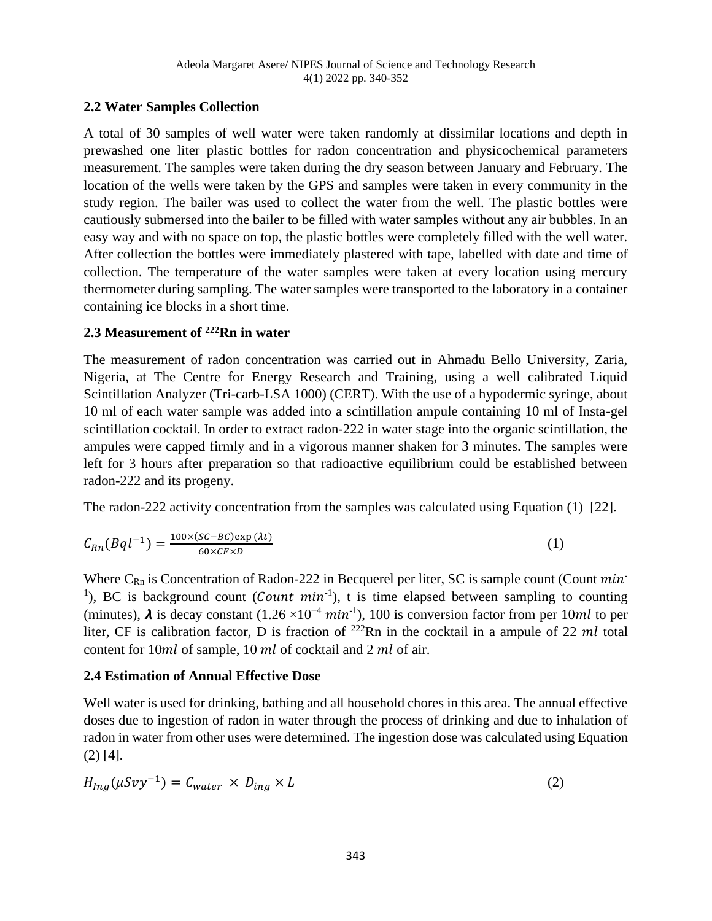## **2.2 Water Samples Collection**

A total of 30 samples of well water were taken randomly at dissimilar locations and depth in prewashed one liter plastic bottles for radon concentration and physicochemical parameters measurement. The samples were taken during the dry season between January and February. The location of the wells were taken by the GPS and samples were taken in every community in the study region. The bailer was used to collect the water from the well. The plastic bottles were cautiously submersed into the bailer to be filled with water samples without any air bubbles. In an easy way and with no space on top, the plastic bottles were completely filled with the well water. After collection the bottles were immediately plastered with tape, labelled with date and time of collection. The temperature of the water samples were taken at every location using mercury thermometer during sampling. The water samples were transported to the laboratory in a container containing ice blocks in a short time.

## **2.3 Measurement of <sup>222</sup>Rn in water**

The measurement of radon concentration was carried out in Ahmadu Bello University, Zaria, Nigeria, at The Centre for Energy Research and Training, using a well calibrated Liquid Scintillation Analyzer (Tri-carb-LSA 1000) (CERT). With the use of a hypodermic syringe, about 10 ml of each water sample was added into a scintillation ampule containing 10 ml of Insta-gel scintillation cocktail. In order to extract radon-222 in water stage into the organic scintillation, the ampules were capped firmly and in a vigorous manner shaken for 3 minutes. The samples were left for 3 hours after preparation so that radioactive equilibrium could be established between radon-222 and its progeny.

The radon-222 activity concentration from the samples was calculated using Equation (1) [22].

$$
C_{Rn}(Bql^{-1}) = \frac{100 \times (SC - BC) \exp(\lambda t)}{60 \times CF \times D} \tag{1}
$$

Where  $C_{\text{Rn}}$  is Concentration of Radon-222 in Becquerel per liter, SC is sample count (Count  $min$ <sup>1</sup>), BC is background count (*Count min*<sup>-1</sup>), t is time elapsed between sampling to counting (minutes),  $\lambda$  is decay constant (1.26 ×10<sup>-4</sup> min<sup>-1</sup>), 100 is conversion factor from per 10ml to per liter, CF is calibration factor, D is fraction of  $^{222}$ Rn in the cocktail in a ampule of 22 ml total content for  $10ml$  of sample,  $10 ml$  of cocktail and  $2 ml$  of air.

## **2.4 Estimation of Annual Effective Dose**

Well water is used for drinking, bathing and all household chores in this area. The annual effective doses due to ingestion of radon in water through the process of drinking and due to inhalation of radon in water from other uses were determined. The ingestion dose was calculated using Equation (2) [4].

$$
H_{Ing}(\mu S \nu y^{-1}) = C_{water} \times D_{ing} \times L \tag{2}
$$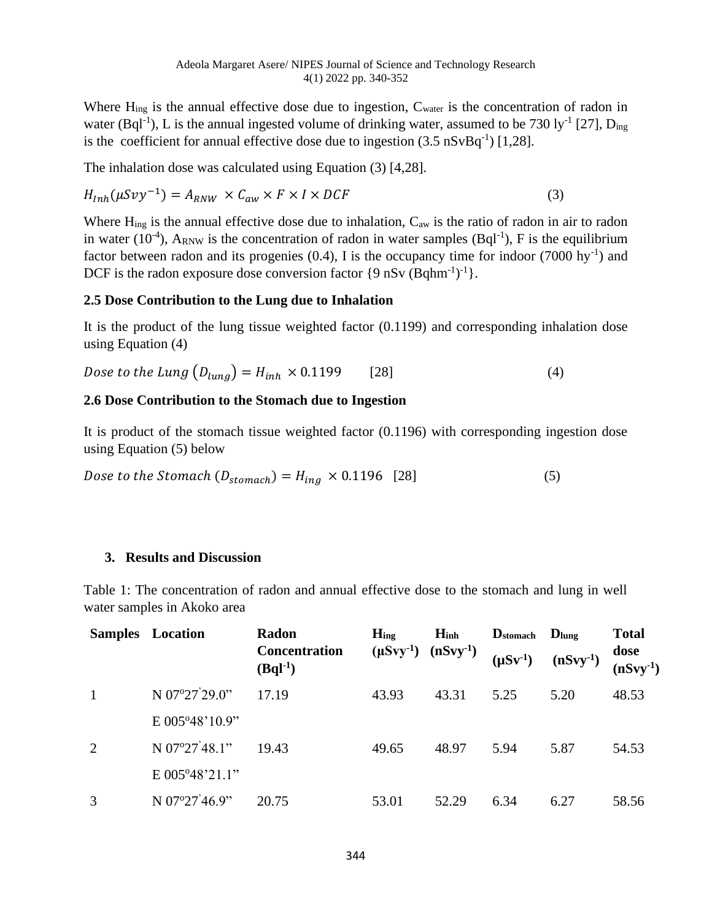Where  $H_{ing}$  is the annual effective dose due to ingestion,  $C_{water}$  is the concentration of radon in water (Bql<sup>-1</sup>), L is the annual ingested volume of drinking water, assumed to be 730 ly<sup>-1</sup> [27], D<sub>ing</sub> is the coefficient for annual effective dose due to ingestion  $(3.5 \text{ nSvBq}^{-1})$  [1,28].

The inhalation dose was calculated using Equation (3) [4,28].

$$
H_{Inh}(\mu S \nu y^{-1}) = A_{RNW} \times C_{aw} \times F \times I \times DCF
$$
\n(3)

Where  $H_{ing}$  is the annual effective dose due to inhalation,  $C_{aw}$  is the ratio of radon in air to radon in water (10<sup>-4</sup>), A<sub>RNW</sub> is the concentration of radon in water samples (Bql<sup>-1</sup>), F is the equilibrium factor between radon and its progenies  $(0.4)$ , I is the occupancy time for indoor  $(7000 \text{ hy}^{-1})$  and DCF is the radon exposure dose conversion factor  $\{9 \text{ nSv (Bqhm^{-1})}^{-1}\}.$ 

#### **2.5 Dose Contribution to the Lung due to Inhalation**

It is the product of the lung tissue weighted factor (0.1199) and corresponding inhalation dose using Equation (4)

*Dose to the Lung*  $(D_{lung}) = H_{inh} \times 0.1199$  [28] (4)

#### **2.6 Dose Contribution to the Stomach due to Ingestion**

It is product of the stomach tissue weighted factor (0.1196) with corresponding ingestion dose using Equation (5) below

*Dose to the Stomach*  $(D_{\text{stomach}}) = H_{\text{ing}} \times 0.1196$  [28] (5)

#### **3. Results and Discussion**

Table 1: The concentration of radon and annual effective dose to the stomach and lung in well water samples in Akoko area

|   | <b>Samples</b> Location | Radon<br><b>Concentration</b><br>$(Bql-1)$ | $H_{ing}$<br>$(\mu Svy^{-1})$ $(nSvy^{-1})$ | $H_{inh}$ | $\mathbf{D}_{\text{stomach}}$<br>$(\mu Sv^{-1})$ | $D_{\text{lung}}$<br>$(nSvy-1)$ | <b>Total</b><br>dose<br>$(nSvy-1)$ |
|---|-------------------------|--------------------------------------------|---------------------------------------------|-----------|--------------------------------------------------|---------------------------------|------------------------------------|
|   | N 07°27'29.0"           | 17.19                                      | 43.93                                       | 43.31     | 5.25                                             | 5.20                            | 48.53                              |
|   | E 005°48'10.9"          |                                            |                                             |           |                                                  |                                 |                                    |
| 2 | N 07°27'48.1"           | 19.43                                      | 49.65                                       | 48.97     | 5.94                                             | 5.87                            | 54.53                              |
|   | E 005°48'21.1"          |                                            |                                             |           |                                                  |                                 |                                    |
| 3 | N 07°27'46.9"           | 20.75                                      | 53.01                                       | 52.29     | 6.34                                             | 6.27                            | 58.56                              |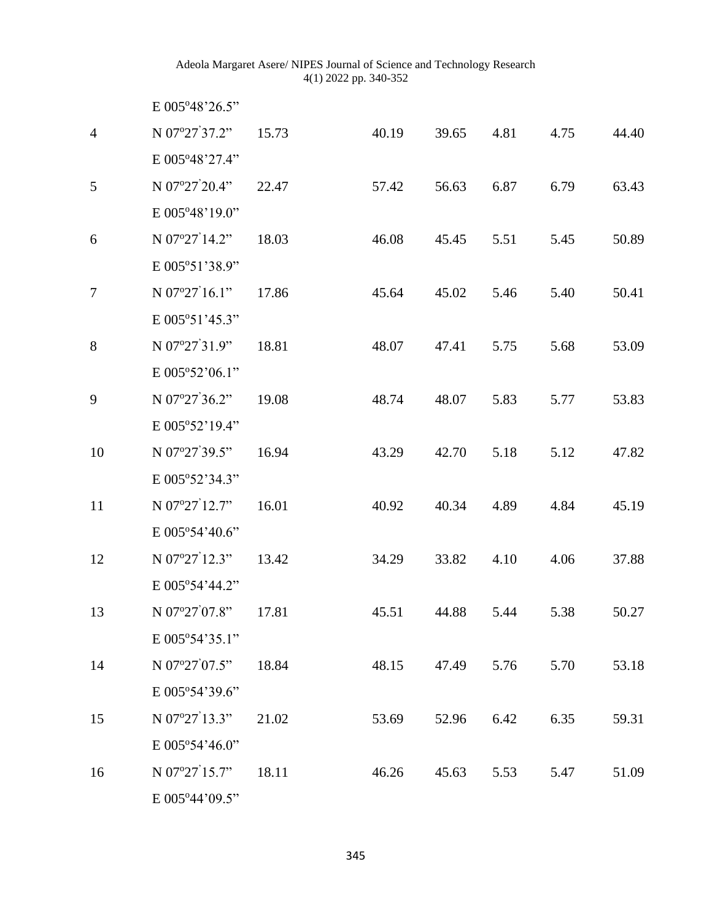|                | E 005°48'26.5"          |       |       |       |      |      |       |
|----------------|-------------------------|-------|-------|-------|------|------|-------|
| $\overline{4}$ | N 07°27'37.2"           | 15.73 | 40.19 | 39.65 | 4.81 | 4.75 | 44.40 |
|                | E 005°48'27.4"          |       |       |       |      |      |       |
| 5              | N 07°27'20.4"           | 22.47 | 57.42 | 56.63 | 6.87 | 6.79 | 63.43 |
|                | E 005°48'19.0"          |       |       |       |      |      |       |
| 6              | N 07°27'14.2"           | 18.03 | 46.08 | 45.45 | 5.51 | 5.45 | 50.89 |
|                | E 005°51'38.9"          |       |       |       |      |      |       |
| $\tau$         | N $07^{\circ}27'16.1"$  | 17.86 | 45.64 | 45.02 | 5.46 | 5.40 | 50.41 |
|                | E 005°51'45.3"          |       |       |       |      |      |       |
| 8              | N 07°27'31.9"           | 18.81 | 48.07 | 47.41 | 5.75 | 5.68 | 53.09 |
|                | E 005°52'06.1"          |       |       |       |      |      |       |
| 9              | N 07°27'36.2"           | 19.08 | 48.74 | 48.07 | 5.83 | 5.77 | 53.83 |
|                | E 005°52'19.4"          |       |       |       |      |      |       |
| 10             | N 07°27'39.5"           | 16.94 | 43.29 | 42.70 | 5.18 | 5.12 | 47.82 |
|                | E 005°52'34.3"          |       |       |       |      |      |       |
| 11             | N 07°27'12.7"           | 16.01 | 40.92 | 40.34 | 4.89 | 4.84 | 45.19 |
|                | E 005°54'40.6"          |       |       |       |      |      |       |
| 12             | N 07°27'12.3"           | 13.42 | 34.29 | 33.82 | 4.10 | 4.06 | 37.88 |
|                | E 005°54'44.2"          |       |       |       |      |      |       |
| 13             | N 07°27'07.8"           | 17.81 | 45.51 | 44.88 | 5.44 | 5.38 | 50.27 |
|                | $E 005^{\circ}54'35.1"$ |       |       |       |      |      |       |
| 14             | N 07°27'07.5"           | 18.84 | 48.15 | 47.49 | 5.76 | 5.70 | 53.18 |
|                | E 005°54'39.6"          |       |       |       |      |      |       |
| 15             | N 07°27'13.3"           | 21.02 | 53.69 | 52.96 | 6.42 | 6.35 | 59.31 |
|                | E 005°54'46.0"          |       |       |       |      |      |       |
| 16             | N 07°27'15.7"           | 18.11 | 46.26 | 45.63 | 5.53 | 5.47 | 51.09 |
|                | E 005°44'09.5"          |       |       |       |      |      |       |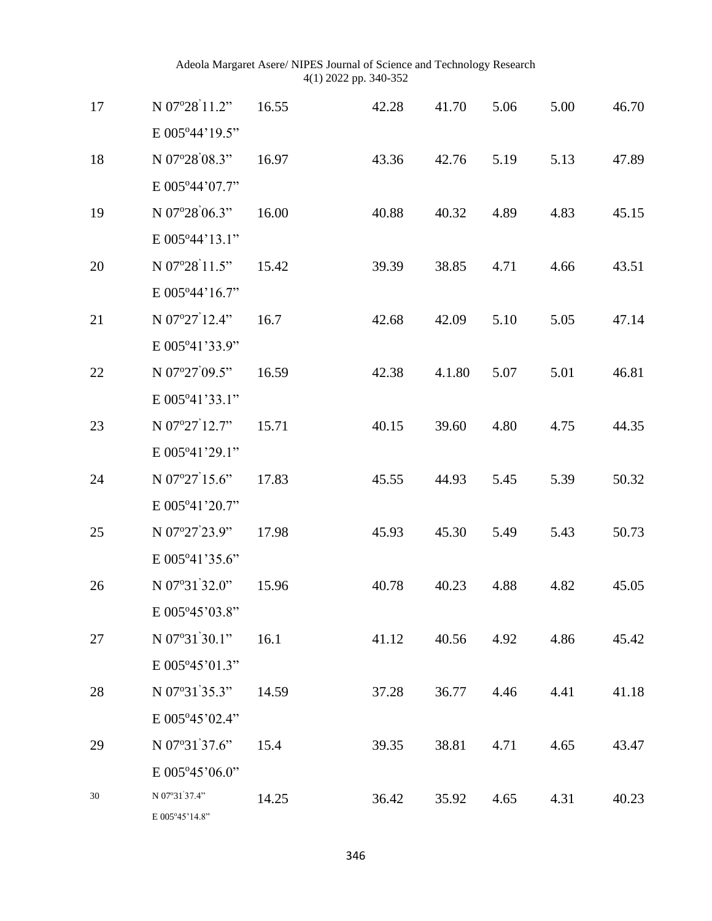| 17 | N 07°28'11.2"          | 16.55 | 42.28 | 41.70  | 5.06 | 5.00 | 46.70 |
|----|------------------------|-------|-------|--------|------|------|-------|
|    | E 005°44'19.5"         |       |       |        |      |      |       |
| 18 | N 07°28'08.3"          | 16.97 | 43.36 | 42.76  | 5.19 | 5.13 | 47.89 |
|    | E 005°44'07.7"         |       |       |        |      |      |       |
| 19 | N 07°28'06.3"          | 16.00 | 40.88 | 40.32  | 4.89 | 4.83 | 45.15 |
|    | E 005°44'13.1"         |       |       |        |      |      |       |
| 20 | N 07°28'11.5"          | 15.42 | 39.39 | 38.85  | 4.71 | 4.66 | 43.51 |
|    | E 005°44'16.7"         |       |       |        |      |      |       |
| 21 | N 07°27'12.4"          | 16.7  | 42.68 | 42.09  | 5.10 | 5.05 | 47.14 |
|    | E 005°41'33.9"         |       |       |        |      |      |       |
| 22 | N 07°27'09.5"          | 16.59 | 42.38 | 4.1.80 | 5.07 | 5.01 | 46.81 |
|    | E 005°41'33.1"         |       |       |        |      |      |       |
| 23 | N 07°27'12.7"          | 15.71 | 40.15 | 39.60  | 4.80 | 4.75 | 44.35 |
|    | E 005°41'29.1"         |       |       |        |      |      |       |
| 24 | N $07^{\circ}27'15.6"$ | 17.83 | 45.55 | 44.93  | 5.45 | 5.39 | 50.32 |
|    | E 005°41'20.7"         |       |       |        |      |      |       |
| 25 | N 07°27'23.9"          | 17.98 | 45.93 | 45.30  | 5.49 | 5.43 | 50.73 |
|    | E 005°41'35.6"         |       |       |        |      |      |       |
| 26 | N 07°31'32.0"          | 15.96 | 40.78 | 40.23  | 4.88 | 4.82 | 45.05 |
|    | E 005°45'03.8"         |       |       |        |      |      |       |
| 27 | N 07°31'30.1"          | 16.1  | 41.12 | 40.56  | 4.92 | 4.86 | 45.42 |
|    | E 005°45'01.3"         |       |       |        |      |      |       |
| 28 | N 07°31'35.3"          | 14.59 | 37.28 | 36.77  | 4.46 | 4.41 | 41.18 |
|    | E 005°45'02.4"         |       |       |        |      |      |       |
| 29 | N $07^{\circ}31'37.6"$ | 15.4  | 39.35 | 38.81  | 4.71 | 4.65 | 43.47 |
|    | E 005°45'06.0"         |       |       |        |      |      |       |
| 30 | N 07°31'37.4"          | 14.25 | 36.42 | 35.92  | 4.65 | 4.31 | 40.23 |
|    | E 005°45'14.8"         |       |       |        |      |      |       |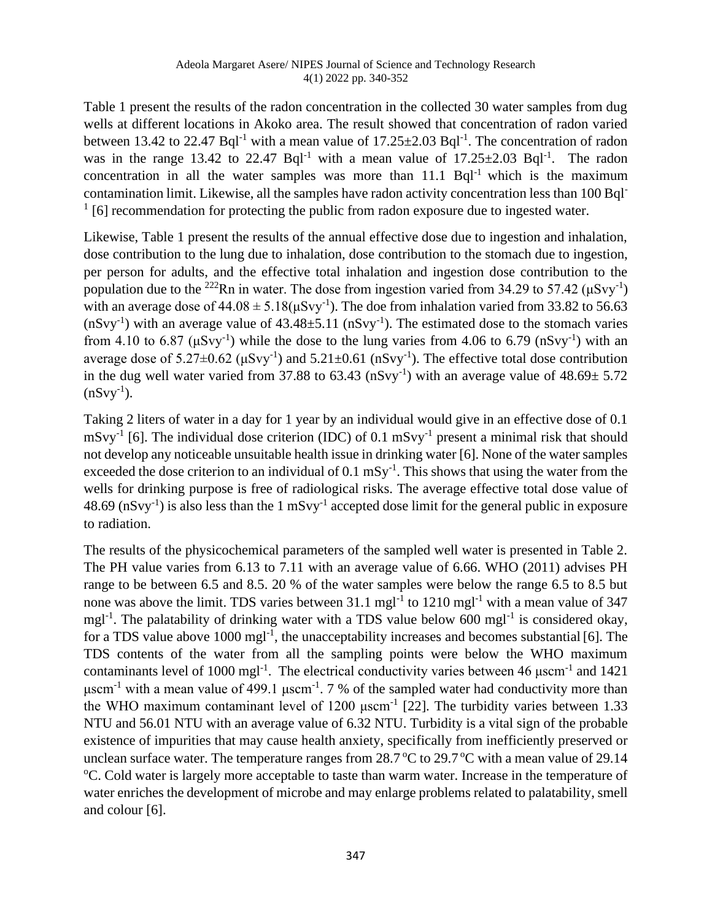Table 1 present the results of the radon concentration in the collected 30 water samples from dug wells at different locations in Akoko area. The result showed that concentration of radon varied between 13.42 to 22.47 Bql<sup>-1</sup> with a mean value of  $17.25 \pm 2.03$  Bql<sup>-1</sup>. The concentration of radon was in the range 13.42 to 22.47 Bql<sup>-1</sup> with a mean value of  $17.25 \pm 2.03$  Bql<sup>-1</sup>. The radon concentration in all the water samples was more than  $11.1$  Bql<sup>-1</sup> which is the maximum contamination limit. Likewise, all the samples have radon activity concentration less than 100 Bql- $1$  [6] recommendation for protecting the public from radon exposure due to ingested water.

Likewise, Table 1 present the results of the annual effective dose due to ingestion and inhalation, dose contribution to the lung due to inhalation, dose contribution to the stomach due to ingestion, per person for adults, and the effective total inhalation and ingestion dose contribution to the population due to the <sup>222</sup>Rn in water. The dose from ingestion varied from 34.29 to 57.42 ( $\mu Svy^{-1}$ ) with an average dose of  $44.08 \pm 5.18(\mu\text{Svy}^{-1})$ . The doe from inhalation varied from 33.82 to 56.63  $(nSvy<sup>-1</sup>)$  with an average value of  $43.48 \pm 5.11$   $(nSvy<sup>-1</sup>)$ . The estimated dose to the stomach varies from 4.10 to 6.87 ( $\mu$ Svy<sup>-1</sup>) while the dose to the lung varies from 4.06 to 6.79 (nSvy<sup>-1</sup>) with an average dose of  $5.27 \pm 0.62$  ( $\mu$ Svy<sup>-1</sup>) and  $5.21 \pm 0.61$  (nSvy<sup>-1</sup>). The effective total dose contribution in the dug well water varied from 37.88 to  $63.43 \text{ (nSvy}^{-1})$  with an average value of  $48.69 \pm 5.72$  $(nSvy^{-1})$ .

Taking 2 liters of water in a day for 1 year by an individual would give in an effective dose of 0.1  $mSvy^{-1}$  [6]. The individual dose criterion (IDC) of 0.1 mSvy<sup>-1</sup> present a minimal risk that should not develop any noticeable unsuitable health issue in drinking water [6]. None of the water samples exceeded the dose criterion to an individual of  $0.1 \text{ mSy}^{-1}$ . This shows that using the water from the wells for drinking purpose is free of radiological risks. The average effective total dose value of 48.69 ( $nSvy^{-1}$ ) is also less than the 1  $mSvy^{-1}$  accepted dose limit for the general public in exposure to radiation.

The results of the physicochemical parameters of the sampled well water is presented in Table 2. The PH value varies from 6.13 to 7.11 with an average value of 6.66. WHO (2011) advises PH range to be between 6.5 and 8.5. 20 % of the water samples were below the range 6.5 to 8.5 but none was above the limit. TDS varies between  $31.1 \text{ mgl}^{-1}$  to  $1210 \text{ mgl}^{-1}$  with a mean value of  $347$ mgl<sup>-1</sup>. The palatability of drinking water with a TDS value below 600 mgl<sup>-1</sup> is considered okay, for a TDS value above 1000 mgl<sup>-1</sup>, the unacceptability increases and becomes substantial [6]. The TDS contents of the water from all the sampling points were below the WHO maximum contaminants level of 1000 mgl<sup>-1</sup>. The electrical conductivity varies between 46  $\mu$ scm<sup>-1</sup> and 1421  $\mu$ scm<sup>-1</sup> with a mean value of 499.1  $\mu$ scm<sup>-1</sup>. 7 % of the sampled water had conductivity more than the WHO maximum contaminant level of  $1200 \mu \text{scm}^{-1}$  [22]. The turbidity varies between 1.33 NTU and 56.01 NTU with an average value of 6.32 NTU. Turbidity is a vital sign of the probable existence of impurities that may cause health anxiety, specifically from inefficiently preserved or unclean surface water. The temperature ranges from  $28.7 \degree C$  to  $29.7 \degree C$  with a mean value of 29.14 <sup>o</sup>C. Cold water is largely more acceptable to taste than warm water. Increase in the temperature of water enriches the development of microbe and may enlarge problems related to palatability, smell and colour [6].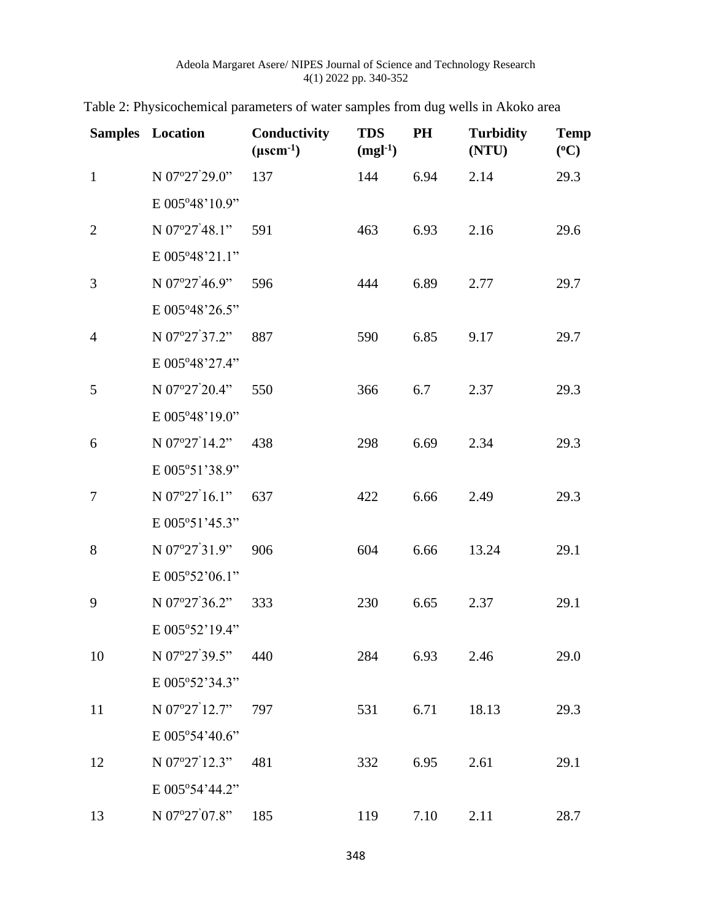|                | <b>Samples</b> Location | Conductivity<br>$(\mu$ scm <sup>-1</sup> ) | <b>TDS</b><br>$(mgl-1)$ | PH   | <b>Turbidity</b><br>(NTU) | <b>Temp</b><br>$({}^0C)$ |
|----------------|-------------------------|--------------------------------------------|-------------------------|------|---------------------------|--------------------------|
| $\mathbf{1}$   | N 07°27'29.0"           | 137                                        | 144                     | 6.94 | 2.14                      | 29.3                     |
|                | E 005°48'10.9"          |                                            |                         |      |                           |                          |
| $\overline{2}$ | N $07^{\circ}27'48.1"$  | 591                                        | 463                     | 6.93 | 2.16                      | 29.6                     |
|                | E 005°48'21.1"          |                                            |                         |      |                           |                          |
| 3              | N 07°27'46.9"           | 596                                        | 444                     | 6.89 | 2.77                      | 29.7                     |
|                | E 005°48'26.5"          |                                            |                         |      |                           |                          |
| $\overline{4}$ | N 07°27'37.2"           | 887                                        | 590                     | 6.85 | 9.17                      | 29.7                     |
|                | E 005°48'27.4"          |                                            |                         |      |                           |                          |
| 5              | N 07°27'20.4"           | 550                                        | 366                     | 6.7  | 2.37                      | 29.3                     |
|                | E 005°48'19.0"          |                                            |                         |      |                           |                          |
| 6              | N 07°27'14.2"           | 438                                        | 298                     | 6.69 | 2.34                      | 29.3                     |
|                | E 005°51'38.9"          |                                            |                         |      |                           |                          |
| 7              | N 07°27'16.1"           | 637                                        | 422                     | 6.66 | 2.49                      | 29.3                     |
|                | E 005°51'45.3"          |                                            |                         |      |                           |                          |
| 8              | N 07°27'31.9"           | 906                                        | 604                     | 6.66 | 13.24                     | 29.1                     |
|                | E 005°52'06.1"          |                                            |                         |      |                           |                          |
| 9              | N 07°27'36.2"           | 333                                        | 230                     | 6.65 | 2.37                      | 29.1                     |
|                | E 005°52'19.4"          |                                            |                         |      |                           |                          |
| 10             | N 07°27'39.5"           | 440                                        | 284                     | 6.93 | 2.46                      | 29.0                     |
|                | E 005°52'34.3"          |                                            |                         |      |                           |                          |
| 11             | N 07°27'12.7"           | 797                                        | 531                     | 6.71 | 18.13                     | 29.3                     |
|                | E 005°54'40.6"          |                                            |                         |      |                           |                          |
| 12             | N 07°27'12.3"           | 481                                        | 332                     | 6.95 | 2.61                      | 29.1                     |
|                | E 005°54'44.2"          |                                            |                         |      |                           |                          |
| 13             | N 07°27'07.8"           | 185                                        | 119                     | 7.10 | 2.11                      | 28.7                     |

|  |  | Table 2: Physicochemical parameters of water samples from dug wells in Akoko area |  |  |  |  |  |
|--|--|-----------------------------------------------------------------------------------|--|--|--|--|--|
|  |  |                                                                                   |  |  |  |  |  |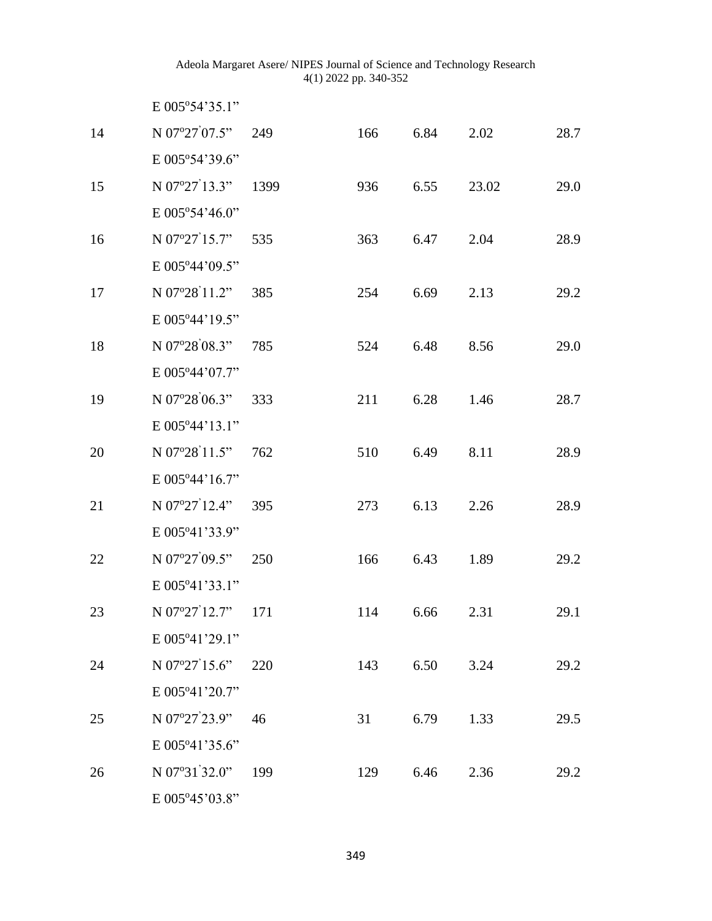|    | E 005°54'35.1"          |      |     |      |       |      |
|----|-------------------------|------|-----|------|-------|------|
| 14 | N 07°27'07.5"           | 249  | 166 | 6.84 | 2.02  | 28.7 |
|    | E 005°54'39.6"          |      |     |      |       |      |
| 15 | N $07^{\circ}27'13.3"$  | 1399 | 936 | 6.55 | 23.02 | 29.0 |
|    | E 005°54'46.0"          |      |     |      |       |      |
| 16 | N 07°27'15.7"           | 535  | 363 | 6.47 | 2.04  | 28.9 |
|    | E 005°44'09.5"          |      |     |      |       |      |
| 17 | N 07°28'11.2"           | 385  | 254 | 6.69 | 2.13  | 29.2 |
|    | E 005°44'19.5"          |      |     |      |       |      |
| 18 | N 07°28'08.3"           | 785  | 524 | 6.48 | 8.56  | 29.0 |
|    | E 005°44'07.7"          |      |     |      |       |      |
| 19 | N 07°28'06.3"           | 333  | 211 | 6.28 | 1.46  | 28.7 |
|    | E 005°44'13.1"          |      |     |      |       |      |
| 20 | N 07°28'11.5"           | 762  | 510 | 6.49 | 8.11  | 28.9 |
|    | E 005°44'16.7"          |      |     |      |       |      |
| 21 | N 07°27'12.4"           | 395  | 273 | 6.13 | 2.26  | 28.9 |
|    | E 005°41'33.9"          |      |     |      |       |      |
| 22 | N 07°27'09.5"           | 250  | 166 | 6.43 | 1.89  | 29.2 |
|    | E 005°41'33.1"          |      |     |      |       |      |
| 23 | N 07°27'12.7"           | 171  | 114 | 6.66 | 2.31  | 29.1 |
|    | $E 005^{\circ}41'29.1"$ |      |     |      |       |      |
| 24 | N $07^{\circ}27'15.6"$  | 220  | 143 | 6.50 | 3.24  | 29.2 |
|    | E 005°41'20.7"          |      |     |      |       |      |
| 25 | N 07°27'23.9"           | 46   | 31  | 6.79 | 1.33  | 29.5 |
|    | E 005°41'35.6"          |      |     |      |       |      |
| 26 | N $07^{\circ}31'32.0"$  | 199  | 129 | 6.46 | 2.36  | 29.2 |
|    | E 005°45'03.8"          |      |     |      |       |      |

349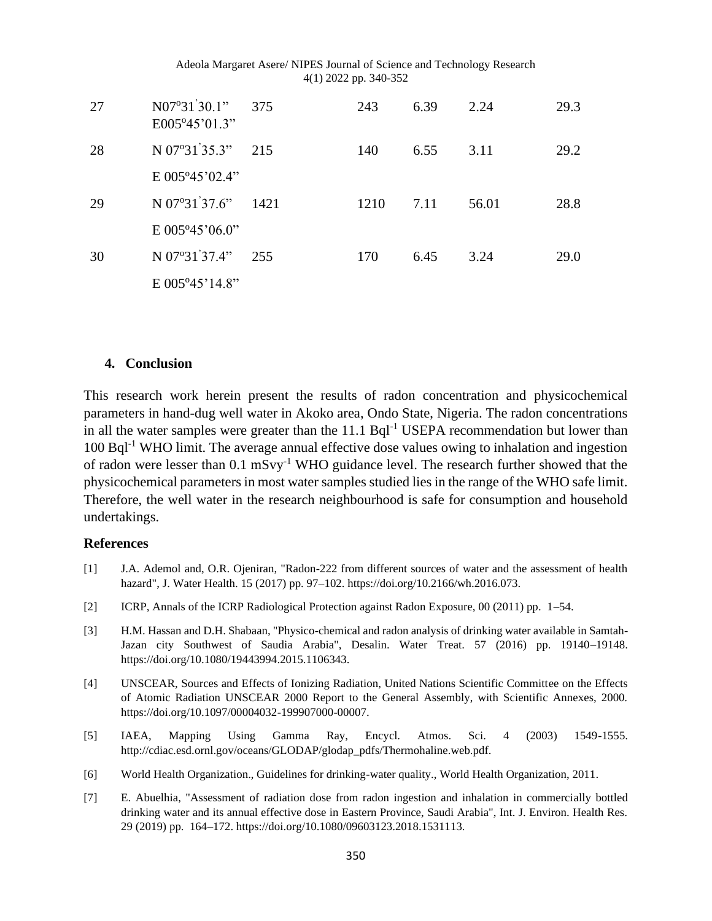| 27 | $N07^{\circ}31'30.1"$<br>$E005^{\circ}45^{\circ}01.3$ " | 375  | 243  | 6.39 | 2.24  | 29.3 |
|----|---------------------------------------------------------|------|------|------|-------|------|
| 28 | N $07^{\circ}31^{\prime}35.3"$                          | 215  | 140  | 6.55 | 3.11  | 29.2 |
|    | $E 005^{\circ}45^{\circ}02.4"$                          |      |      |      |       |      |
| 29 | N $07^{\circ}31'37.6"$                                  | 1421 | 1210 | 7.11 | 56.01 | 28.8 |
|    | $E 005^{\circ}45'06.0"$                                 |      |      |      |       |      |
| 30 | $N$ 07°31 <sup>'</sup> 37.4"                            | 255  | 170  | 6.45 | 3.24  | 29.0 |
|    | $E 005^{\circ}45'14.8"$                                 |      |      |      |       |      |

#### **4. Conclusion**

This research work herein present the results of radon concentration and physicochemical parameters in hand-dug well water in Akoko area, Ondo State, Nigeria. The radon concentrations in all the water samples were greater than the  $11.1$  Bql<sup>-1</sup> USEPA recommendation but lower than 100 Bql-1 WHO limit. The average annual effective dose values owing to inhalation and ingestion of radon were lesser than  $0.1 \text{ mSvy}^{-1}$  WHO guidance level. The research further showed that the physicochemical parameters in most water samples studied lies in the range of the WHO safe limit. Therefore, the well water in the research neighbourhood is safe for consumption and household undertakings.

#### **References**

- [1] J.A. Ademol and, O.R. Ojeniran, "Radon-222 from different sources of water and the assessment of health hazard", J. Water Health. 15 (2017) pp. 97–102. https://doi.org/10.2166/wh.2016.073.
- [2] ICRP, Annals of the ICRP Radiological Protection against Radon Exposure, 00 (2011) pp. 1–54.
- [3] H.M. Hassan and D.H. Shabaan, "Physico-chemical and radon analysis of drinking water available in Samtah-Jazan city Southwest of Saudia Arabia", Desalin. Water Treat. 57 (2016) pp. 19140–19148. https://doi.org/10.1080/19443994.2015.1106343.
- [4] UNSCEAR, Sources and Effects of Ionizing Radiation, United Nations Scientific Committee on the Effects of Atomic Radiation UNSCEAR 2000 Report to the General Assembly, with Scientific Annexes, 2000. https://doi.org/10.1097/00004032-199907000-00007.
- [5] IAEA, Mapping Using Gamma Ray, Encycl. Atmos. Sci. 4 (2003) 1549-1555. http://cdiac.esd.ornl.gov/oceans/GLODAP/glodap\_pdfs/Thermohaline.web.pdf.
- [6] World Health Organization., Guidelines for drinking-water quality., World Health Organization, 2011.
- [7] E. Abuelhia, "Assessment of radiation dose from radon ingestion and inhalation in commercially bottled drinking water and its annual effective dose in Eastern Province, Saudi Arabia", Int. J. Environ. Health Res. 29 (2019) pp. 164–172. https://doi.org/10.1080/09603123.2018.1531113.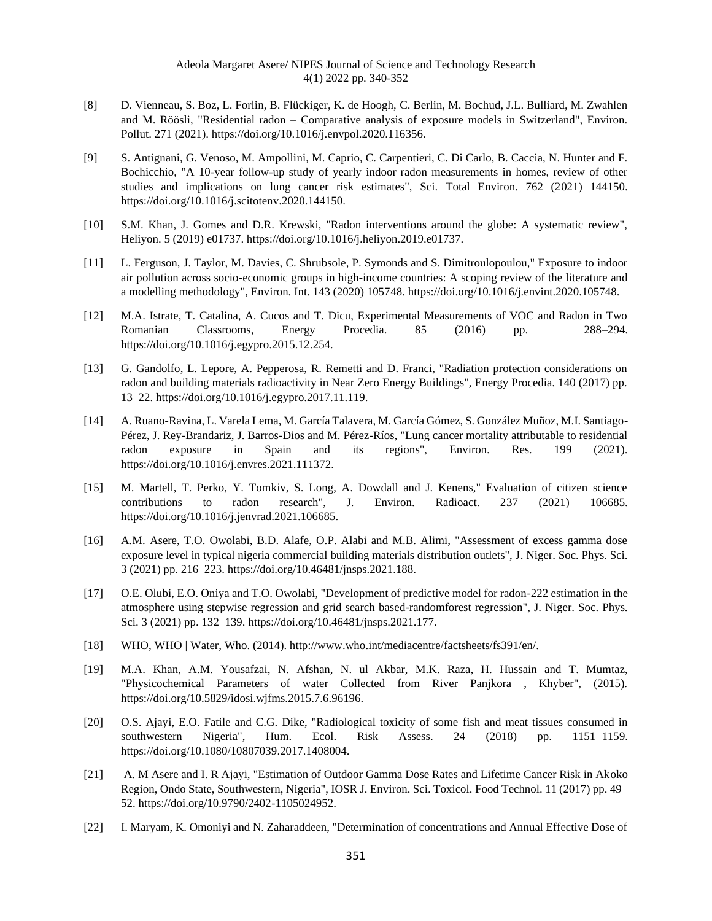- [8] D. Vienneau, S. Boz, L. Forlin, B. Flückiger, K. de Hoogh, C. Berlin, M. Bochud, J.L. Bulliard, M. Zwahlen and M. Röösli, "Residential radon – Comparative analysis of exposure models in Switzerland", Environ. Pollut. 271 (2021). https://doi.org/10.1016/j.envpol.2020.116356.
- [9] S. Antignani, G. Venoso, M. Ampollini, M. Caprio, C. Carpentieri, C. Di Carlo, B. Caccia, N. Hunter and F. Bochicchio, "A 10-year follow-up study of yearly indoor radon measurements in homes, review of other studies and implications on lung cancer risk estimates", Sci. Total Environ. 762 (2021) 144150. https://doi.org/10.1016/j.scitotenv.2020.144150.
- [10] S.M. Khan, J. Gomes and D.R. Krewski, "Radon interventions around the globe: A systematic review", Heliyon. 5 (2019) e01737. https://doi.org/10.1016/j.heliyon.2019.e01737.
- [11] L. Ferguson, J. Taylor, M. Davies, C. Shrubsole, P. Symonds and S. Dimitroulopoulou," Exposure to indoor air pollution across socio-economic groups in high-income countries: A scoping review of the literature and a modelling methodology", Environ. Int. 143 (2020) 105748. https://doi.org/10.1016/j.envint.2020.105748.
- [12] M.A. Istrate, T. Catalina, A. Cucos and T. Dicu, Experimental Measurements of VOC and Radon in Two Romanian Classrooms, Energy Procedia. 85 (2016) pp. 288–294. https://doi.org/10.1016/j.egypro.2015.12.254.
- [13] G. Gandolfo, L. Lepore, A. Pepperosa, R. Remetti and D. Franci, "Radiation protection considerations on radon and building materials radioactivity in Near Zero Energy Buildings", Energy Procedia. 140 (2017) pp. 13–22. https://doi.org/10.1016/j.egypro.2017.11.119.
- [14] A. Ruano-Ravina, L. Varela Lema, M. García Talavera, M. García Gómez, S. González Muñoz, M.I. Santiago-Pérez, J. Rey-Brandariz, J. Barros-Dios and M. Pérez-Ríos, "Lung cancer mortality attributable to residential radon exposure in Spain and its regions", Environ. Res. 199 (2021). https://doi.org/10.1016/j.envres.2021.111372.
- [15] M. Martell, T. Perko, Y. Tomkiv, S. Long, A. Dowdall and J. Kenens," Evaluation of citizen science contributions to radon research", J. Environ. Radioact. 237 (2021) 106685. https://doi.org/10.1016/j.jenvrad.2021.106685.
- [16] A.M. Asere, T.O. Owolabi, B.D. Alafe, O.P. Alabi and M.B. Alimi, "Assessment of excess gamma dose exposure level in typical nigeria commercial building materials distribution outlets", J. Niger. Soc. Phys. Sci. 3 (2021) pp. 216–223. https://doi.org/10.46481/jnsps.2021.188.
- [17] O.E. Olubi, E.O. Oniya and T.O. Owolabi, "Development of predictive model for radon-222 estimation in the atmosphere using stepwise regression and grid search based-randomforest regression", J. Niger. Soc. Phys. Sci. 3 (2021) pp. 132–139. https://doi.org/10.46481/jnsps.2021.177.
- [18] WHO, WHO | Water, Who. (2014). http://www.who.int/mediacentre/factsheets/fs391/en/.
- [19] M.A. Khan, A.M. Yousafzai, N. Afshan, N. ul Akbar, M.K. Raza, H. Hussain and T. Mumtaz, "Physicochemical Parameters of water Collected from River Panjkora , Khyber", (2015). https://doi.org/10.5829/idosi.wjfms.2015.7.6.96196.
- [20] O.S. Ajayi, E.O. Fatile and C.G. Dike, "Radiological toxicity of some fish and meat tissues consumed in southwestern Nigeria", Hum. Ecol. Risk Assess. 24 (2018) pp. 1151–1159. https://doi.org/10.1080/10807039.2017.1408004.
- [21] A. M Asere and I. R Ajayi, "Estimation of Outdoor Gamma Dose Rates and Lifetime Cancer Risk in Akoko Region, Ondo State, Southwestern, Nigeria", IOSR J. Environ. Sci. Toxicol. Food Technol. 11 (2017) pp. 49– 52. https://doi.org/10.9790/2402-1105024952.
- [22] I. Maryam, K. Omoniyi and N. Zaharaddeen, "Determination of concentrations and Annual Effective Dose of